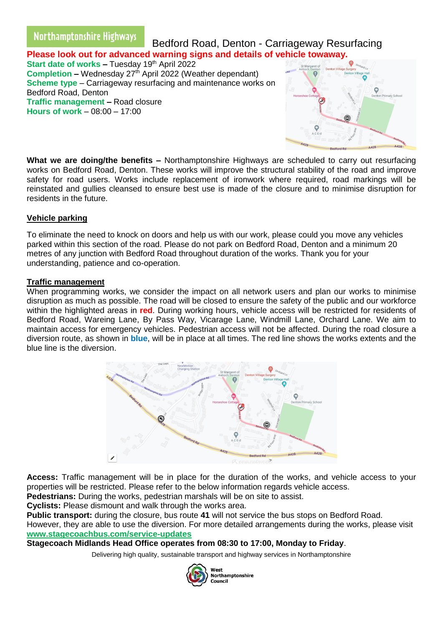# Northamptonshire Highways

 Bedford Road, Denton - Carriageway Resurfacing **Please look out for advanced warning signs and details of vehicle towaway.**

**Start date of works – Tuesday 19th April 2022 Completion** – Wednesday 27<sup>th</sup> April 2022 (Weather dependant) **Scheme type** – Carriageway resurfacing and maintenance works on Bedford Road, Denton **Traffic management –** Road closure **Hours of work** – 08:00 – 17:00



**What we are doing/the benefits –** Northamptonshire Highways are scheduled to carry out resurfacing works on Bedford Road, Denton. These works will improve the structural stability of the road and improve safety for road users. Works include replacement of ironwork where required, road markings will be reinstated and gullies cleansed to ensure best use is made of the closure and to minimise disruption for residents in the future.

# **Vehicle parking**

To eliminate the need to knock on doors and help us with our work, please could you move any vehicles parked within this section of the road. Please do not park on Bedford Road, Denton and a minimum 20 metres of any junction with Bedford Road throughout duration of the works. Thank you for your understanding, patience and co-operation.

### **Traffic management**

When programming works, we consider the impact on all network users and plan our works to minimise disruption as much as possible. The road will be closed to ensure the safety of the public and our workforce within the highlighted areas in **red**. During working hours, vehicle access will be restricted for residents of Bedford Road, Wareing Lane, By Pass Way, Vicarage Lane, Windmill Lane, Orchard Lane. We aim to maintain access for emergency vehicles. Pedestrian access will not be affected. During the road closure a diversion route, as shown in **blue**, will be in place at all times. The red line shows the works extents and the blue line is the diversion.



**Access:** Traffic management will be in place for the duration of the works, and vehicle access to your properties will be restricted. Please refer to the below information regards vehicle access.

**Pedestrians:** During the works, pedestrian marshals will be on site to assist.

**Cyclists:** Please dismount and walk through the works area.

**Public transport:** during the closure, bus route **41** will not service the bus stops on Bedford Road.

However, they are able to use the diversion. For more detailed arrangements during the works, please visit **[www.stagecoachbus.com/service-updates](http://www.stagecoachbus.com/service-updates)**

# **Stagecoach Midlands Head Office operates from 08:30 to 17:00, Monday to Friday**.

Delivering high quality, sustainable transport and highway services in Northamptonshire



.....<br>Northamptonshire Council